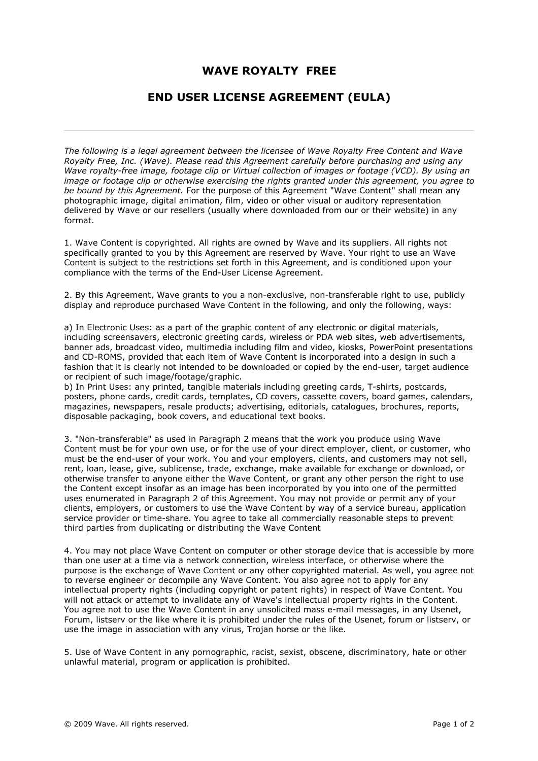## **WAVE ROYALTY FREE**

## **END USER LICENSE AGREEMENT (EULA)**

*The following is a legal agreement between the licensee of Wave Royalty Free Content and Wave Royalty Free, Inc. (Wave). Please read this Agreement carefully before purchasing and using any Wave royalty-free image, footage clip or Virtual collection of images or footage (VCD). By using an image or footage clip or otherwise exercising the rights granted under this agreement, you agree to be bound by this Agreement.* For the purpose of this Agreement "Wave Content" shall mean any photographic image, digital animation, film, video or other visual or auditory representation delivered by Wave or our resellers (usually where downloaded from our or their website) in any format.

1. Wave Content is copyrighted. All rights are owned by Wave and its suppliers. All rights not specifically granted to you by this Agreement are reserved by Wave. Your right to use an Wave Content is subject to the restrictions set forth in this Agreement, and is conditioned upon your compliance with the terms of the End-User License Agreement.

2. By this Agreement, Wave grants to you a non-exclusive, non-transferable right to use, publicly display and reproduce purchased Wave Content in the following, and only the following, ways:

a) In Electronic Uses: as a part of the graphic content of any electronic or digital materials, including screensavers, electronic greeting cards, wireless or PDA web sites, web advertisements, banner ads, broadcast video, multimedia including film and video, kiosks, PowerPoint presentations and CD-ROMS, provided that each item of Wave Content is incorporated into a design in such a fashion that it is clearly not intended to be downloaded or copied by the end-user, target audience or recipient of such image/footage/graphic.

b) In Print Uses: any printed, tangible materials including greeting cards, T-shirts, postcards, posters, phone cards, credit cards, templates, CD covers, cassette covers, board games, calendars, magazines, newspapers, resale products; advertising, editorials, catalogues, brochures, reports, disposable packaging, book covers, and educational text books.

3. "Non-transferable" as used in Paragraph 2 means that the work you produce using Wave Content must be for your own use, or for the use of your direct employer, client, or customer, who must be the end-user of your work. You and your employers, clients, and customers may not sell, rent, loan, lease, give, sublicense, trade, exchange, make available for exchange or download, or otherwise transfer to anyone either the Wave Content, or grant any other person the right to use the Content except insofar as an image has been incorporated by you into one of the permitted uses enumerated in Paragraph 2 of this Agreement. You may not provide or permit any of your clients, employers, or customers to use the Wave Content by way of a service bureau, application service provider or time-share. You agree to take all commercially reasonable steps to prevent third parties from duplicating or distributing the Wave Content

4. You may not place Wave Content on computer or other storage device that is accessible by more than one user at a time via a network connection, wireless interface, or otherwise where the purpose is the exchange of Wave Content or any other copyrighted material. As well, you agree not to reverse engineer or decompile any Wave Content. You also agree not to apply for any intellectual property rights (including copyright or patent rights) in respect of Wave Content. You will not attack or attempt to invalidate any of Wave's intellectual property rights in the Content. You agree not to use the Wave Content in any unsolicited mass e-mail messages, in any Usenet, Forum, listserv or the like where it is prohibited under the rules of the Usenet, forum or listserv, or use the image in association with any virus, Trojan horse or the like.

5. Use of Wave Content in any pornographic, racist, sexist, obscene, discriminatory, hate or other unlawful material, program or application is prohibited.